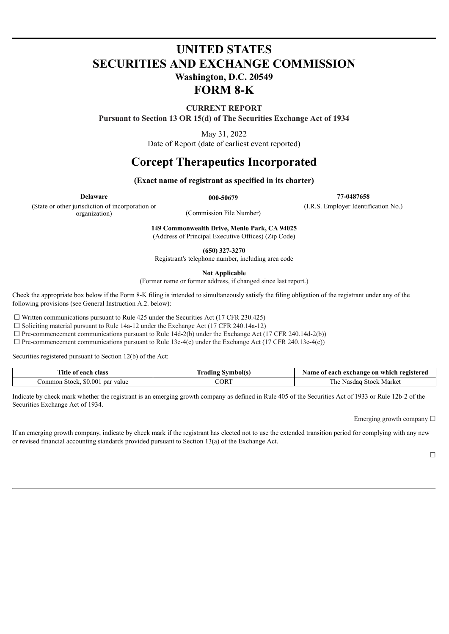# **UNITED STATES SECURITIES AND EXCHANGE COMMISSION Washington, D.C. 20549 FORM 8-K**

**CURRENT REPORT**

**Pursuant to Section 13 OR 15(d) of The Securities Exchange Act of 1934**

May 31, 2022

Date of Report (date of earliest event reported)

# **Corcept Therapeutics Incorporated**

### **(Exact name of registrant as specified in its charter)**

(State or other jurisdiction of incorporation or organization) (Commission File Number)

**Delaware 000-50679 77-0487658**

(I.R.S. Employer Identification No.)

**149 Commonwealth Drive, Menlo Park, CA 94025** (Address of Principal Executive Offices) (Zip Code)

**(650) 327-3270**

Registrant's telephone number, including area code

**Not Applicable**

(Former name or former address, if changed since last report.)

Check the appropriate box below if the Form 8-K filing is intended to simultaneously satisfy the filing obligation of the registrant under any of the following provisions (see General Instruction A.2. below):

 $\Box$  Written communications pursuant to Rule 425 under the Securities Act (17 CFR 230.425)

☐ Soliciting material pursuant to Rule 14a-12 under the Exchange Act (17 CFR 240.14a-12)

 $\Box$  Pre-commencement communications pursuant to Rule 14d-2(b) under the Exchange Act (17 CFR 240.14d-2(b))

 $\Box$  Pre-commencement communications pursuant to Rule 13e-4(c) under the Exchange Act (17 CFR 240.13e-4(c))

Securities registered pursuant to Section 12(b) of the Act:

| Title<br>each<br>class<br>-01                            | a II G<br>e de compagniero e<br>fradıng | e on which.<br>registered<br>vame<br>⊦exchange<br>`each-<br>0T |
|----------------------------------------------------------|-----------------------------------------|----------------------------------------------------------------|
| \$0.00<br>$\triangle$<br>.ommon<br>par<br>Stock<br>value | CORT                                    | stock<br>Market<br>he<br>Nasdad                                |

Indicate by check mark whether the registrant is an emerging growth company as defined in Rule 405 of the Securities Act of 1933 or Rule 12b-2 of the Securities Exchange Act of 1934.

Emerging growth company  $\Box$ 

If an emerging growth company, indicate by check mark if the registrant has elected not to use the extended transition period for complying with any new or revised financial accounting standards provided pursuant to Section 13(a) of the Exchange Act.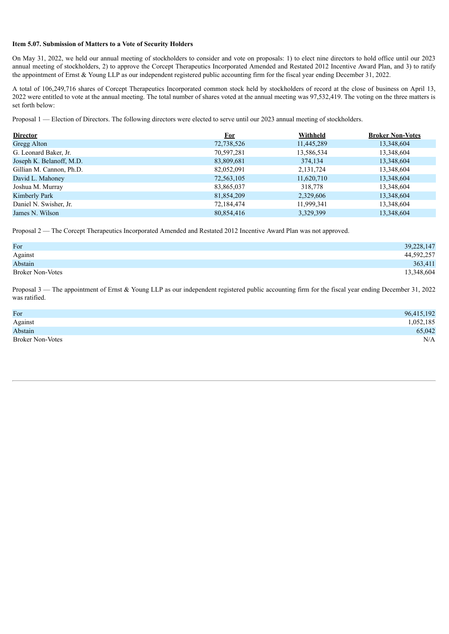#### **Item 5.07. Submission of Matters to a Vote of Security Holders**

On May 31, 2022, we held our annual meeting of stockholders to consider and vote on proposals: 1) to elect nine directors to hold office until our 2023 annual meeting of stockholders, 2) to approve the Corcept Therapeutics Incorporated Amended and Restated 2012 Incentive Award Plan, and 3) to ratify the appointment of Ernst & Young LLP as our independent registered public accounting firm for the fiscal year ending December 31, 2022.

A total of 106,249,716 shares of Corcept Therapeutics Incorporated common stock held by stockholders of record at the close of business on April 13, 2022 were entitled to vote at the annual meeting. The total number of shares voted at the annual meeting was 97,532,419. The voting on the three matters is set forth below:

Proposal 1 — Election of Directors. The following directors were elected to serve until our 2023 annual meeting of stockholders.

| <b>Director</b>          | <u>For</u> | Withheld    | <b>Broker Non-Votes</b> |
|--------------------------|------------|-------------|-------------------------|
| <b>Gregg Alton</b>       | 72,738,526 | 11,445,289  | 13,348,604              |
| G. Leonard Baker, Jr.    | 70,597,281 | 13,586,534  | 13,348,604              |
| Joseph K. Belanoff, M.D. | 83,809,681 | 374,134     | 13,348,604              |
| Gillian M. Cannon, Ph.D. | 82,052,091 | 2, 131, 724 | 13,348,604              |
| David L. Mahoney         | 72,563,105 | 11,620,710  | 13,348,604              |
| Joshua M. Murray         | 83,865,037 | 318,778     | 13,348,604              |
| Kimberly Park            | 81,854,209 | 2,329,606   | 13,348,604              |
| Daniel N. Swisher, Jr.   | 72,184,474 | 11,999,341  | 13,348,604              |
| James N. Wilson          | 80,854,416 | 3,329,399   | 13,348,604              |

Proposal 2 — The Corcept Therapeutics Incorporated Amended and Restated 2012 Incentive Award Plan was not approved.

| For                     | 39,228,147 |
|-------------------------|------------|
| Against                 | 44,592,257 |
| Abstain                 | 363,411    |
| <b>Broker Non-Votes</b> | 13,348,604 |

Proposal  $3$  — The appointment of Ernst & Young LLP as our independent registered public accounting firm for the fiscal year ending December 31, 2022 was ratified.

| For                     | 96,415,192 |
|-------------------------|------------|
| Against                 | 1,052,185  |
| Abstain                 | 65,042     |
| <b>Broker Non-Votes</b> | N/A        |